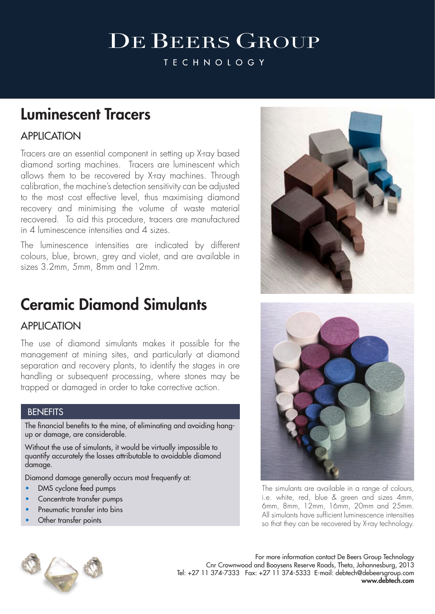# **DE BEERS GROUP**

**TECHNOLOGY** 

### Luminescent Tracers

### APPLICATION

Tracers are an essential component in setting up X-ray based diamond sorting machines. Tracers are luminescent which allows them to be recovered by X-ray machines. Through calibration, the machine's detection sensitivity can be adjusted to the most cost effective level, thus maximising diamond recovery and minimising the volume of waste material recovered. To aid this procedure, tracers are manufactured in 4 luminescence intensities and 4 sizes.

The luminescence intensities are indicated by different colours, blue, brown, grey and violet, and are available in sizes 3.2mm, 5mm, 8mm and 12mm.

## Ceramic Diamond Simulants

### **APPLICATION**

The use of diamond simulants makes it possible for the management at mining sites, and particularly at diamond separation and recovery plants, to identify the stages in ore handling or subsequent processing, where stones may be trapped or damaged in order to take corrective action.

#### **BENEFITS**

The financial benefits to the mine, of eliminating and avoiding hangup or damage, are considerable.

Without the use of simulants, it would be virtually impossible to quantify accurately the losses attributable to avoidable diamond damage.

Diamond damage generally occurs most frequently at:

- DMS cyclone feed pumps
- Concentrate transfer pumps
- Pneumatic transfer into bins
- Other transfer points





The simulants are available in a range of colours, i.e. white, red, blue & green and sizes 4mm, 6mm, 8mm, 12mm, 16mm, 20mm and 25mm. All simulants have sufficient luminescence intensities so that they can be recovered by X-ray technology.



For more information contact De Beers Group Technology Cnr Crownwood and Booysens Reserve Roads, Theta, Johannesburg, 2013 Tel: +27 11 374-7333 Fax: +27 11 374-5333 E-mail: debtech@debeersgroup.com www.debtech.com